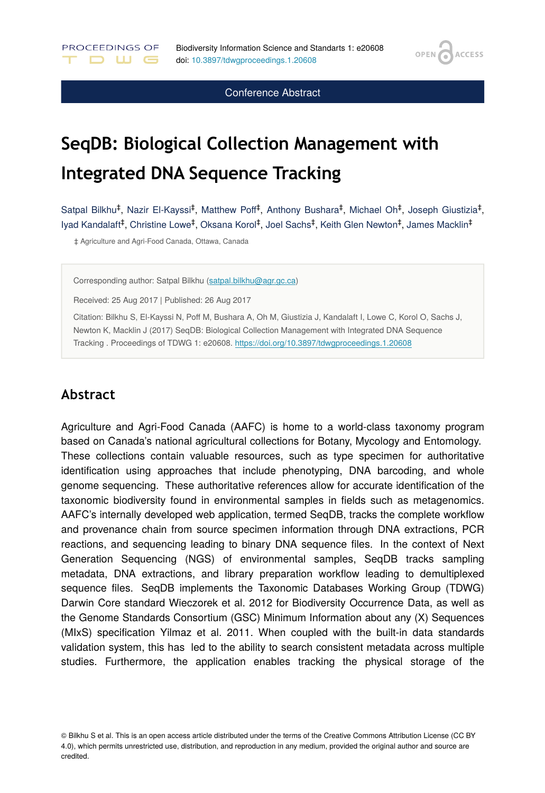**OPEN** 

**ACCESS** 

Conference Abstract

# **SeqDB: Biological Collection Management with Integrated DNA Sequence Tracking**

Satpal Bilkhu<sup>‡</sup>, Nazir El-Kayssi<sup>‡</sup>, Matthew Poff<sup>‡</sup>, Anthony Bushara<sup>‡</sup>, Michael Oh<sup>‡</sup>, Joseph Giustizia<sup>‡</sup>, lyad Kandalaft<sup>‡</sup>, Christine Lowe<sup>‡</sup>, Oksana Korol<sup>‡</sup>, Joel Sachs<sup>‡</sup>, Keith Glen Newton<sup>‡</sup>, James Macklin<sup>‡</sup>

‡ Agriculture and Agri-Food Canada, Ottawa, Canada

PROCEEDINGS OF

D W G

Corresponding author: Satpal Bilkhu [\(satpal.bilkhu@agr.gc.ca\)](mailto:satpal.bilkhu@agr.gc.ca)

Received: 25 Aug 2017 | Published: 26 Aug 2017

Citation: Bilkhu S, El-Kayssi N, Poff M, Bushara A, Oh M, Giustizia J, Kandalaft I, Lowe C, Korol O, Sachs J, Newton K, Macklin J (2017) SeqDB: Biological Collection Management with Integrated DNA Sequence Tracking . Proceedings of TDWG 1: e20608. <https://doi.org/10.3897/tdwgproceedings.1.20608>

### **Abstract**

Agriculture and Agri-Food Canada (AAFC) is home to a world-class taxonomy program based on Canada's national agricultural collections for Botany, Mycology and Entomology. These collections contain valuable resources, such as type specimen for authoritative identification using approaches that include phenotyping, DNA barcoding, and whole genome sequencing. These authoritative references allow for accurate identification of the taxonomic biodiversity found in environmental samples in fields such as metagenomics. AAFC's internally developed web application, termed SeqDB, tracks the complete workflow and provenance chain from source specimen information through DNA extractions, PCR reactions, and sequencing leading to binary DNA sequence files. In the context of Next Generation Sequencing (NGS) of environmental samples, SeqDB tracks sampling metadata, DNA extractions, and library preparation workflow leading to demultiplexed sequence files. SeqDB implements the Taxonomic Databases Working Group (TDWG) Darwin Core standard Wieczorek et al. 2012 for Biodiversity Occurrence Data, as well as the Genome Standards Consortium (GSC) Minimum Information about any (X) Sequences (MIxS) specification Yilmaz et al. 2011. When coupled with the built-in data standards validation system, this has led to the ability to search consistent metadata across multiple studies. Furthermore, the application enables tracking the physical storage of the

© Bilkhu S et al. This is an open access article distributed under the terms of the Creative Commons Attribution License (CC BY 4.0), which permits unrestricted use, distribution, and reproduction in any medium, provided the original author and source are credited.